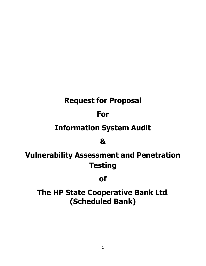# **Request for Proposal**

# **For**

# **Information System Audit**

## **&**

# **Vulnerability Assessment and Penetration Testing**

## **of**

# **The HP State Cooperative Bank Ltd. (Scheduled Bank)**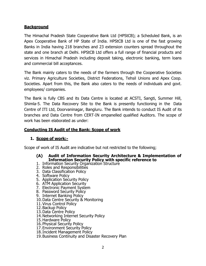## **Background**

The Himachal Pradesh State Cooperative Bank Ltd (HPStCB); a Scheduled Bank, is an Apex Cooperative Bank of HP State of India. HPStCB Ltd is one of the fast growing Banks in India having 218 branches and 23 extension counters spread throughout the state and one branch at Delhi. HPStCB Ltd offers a full range of financial products and services in Himachal Pradesh including deposit taking, electronic banking, term loans and commercial bill acceptances.

The Bank mainly caters to the needs of the farmers through the Cooperative Societies viz. Primary Agriculture Societies, District Federations, Tehsil Unions and Apex Coop. Societies. Apart from this, the Bank also caters to the needs of individuals and govt. employees/ companies.

The Bank is fully CBS and its Data Centre is located at ACSTI, Sangti, Summer Hill, Shimla-5. The Data Recovery Site to the Bank is presently functioning in the Data Centre of ITI Ltd, Doorvaninagar, Bangluru. The Bank intends to conduct IS Audit of its branches and Data Centre from CERT-IN empanelled qualified Auditors. The scope of work has been elaborated as under:

## **Conducting IS Audit of the Bank: Scope of work**

## **1. Scope of work:-**

Scope of work of IS Audit are indicative but not restricted to the following;

#### **(A) Audit of Information Security Architecture & Implementation of Information Security Policy with specific reference to**

- 1. Information Security Organization Structure
- 2. Roles and Responsibilities
- 3. Data Classification Policy
- 4. Software Policy
- 5. Application Security Policy
- 6. ATM Application Security
- 7. Electronic Payment System
- 8. Password Security Policy
- 9. Internet Banking Policy
- 10.Data Centre Security & Monitoring
- 11.Virus Control Policy
- 12.Backup Policy
- 13.Data Centre Policy
- 14.Networking Internet Security Policy
- 15.Hardware Policy
- 16.Physical Security Policy
- 17.Environment Security Policy
- 18.Incident Management Policy
- 19.Business Continuity and Disaster Recovery Plan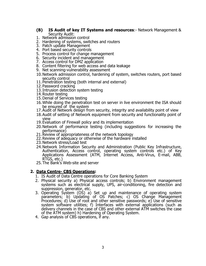#### **(B) IS Audit of key IT Systems and resources**:- Network Management & Security Audit:

- 1. Network admission control
- 2. Hardening of systems, switches and routers
- 3. Patch update Management
- 4. Port based security controls
- 5. Process control for change management
- 6. Security incident and management
- 7. Access control for DMZ application
- 8. Content filtering for web access and data leakage
- 9. Net scanning-vulnerability assessment
- 10.Network admission control, hardening of system, switches routers, port based security control
- 11.Penetration testing (both internal and external)
- 12.Password cracking
- 13.Intrusion detection system testing
- 14.Router testing
- 15.Denial of Services testing
- 16.While doing the penetration test on server in live environment the ISA should be ensured of the system
- 17.Audit of Network design from security, integrity and availability point of view
- 18.Audit of setting of Network equipment from security and functionality point of view
- 19.Evaluation of Firewall policy and its implementation
- 20.Network of performance testing (including suggestions for increasing the performance)
- 21. Review of appropriateness of the network topology
- 22.Review of adequacy or otherwise of the hardware installed
- 23.Network stress/Load test
- 24.Network Information Security and Administration (Public Key Infrastructure, Authentication, Access control, operating system controls etc.) of Key Applications Assessment (ATM, Internet Access, Anti-Virus, E-mail, ABB, RTGS, etc.)
- 25.The Bank's Web-site and server

#### **2. Data Centre- CBS Operations:**

- 1. IS Audit of Data Centre operations for Core Banking System
- 2. Physical security a) Physical access controls; b) Environment management systems such as electrical supply, UPS, air-conditioning, fire detection and suppression, generator, etc.
- 3. Operating System (OS) a) Set up and maintenance of operating system parameters; b) Updating of OS Patches; c) OS Change Management Procedures; d) Use of root and other sensitive passwords; e) Use of sensitive system software utilities; f) Interfaces with external applications (such as delivery channels in the case of CBS and other external ATM switches the case of the ATM system) h) Hardening of Operating System.
- 4. Gap analysis of CBS operations, if any.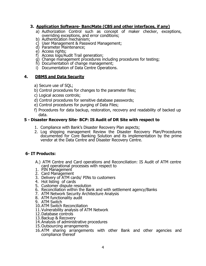## **3. Application Software- BancMate (CBS and other interfaces, if any)**

- a) Authorization Control such as concept of maker checker, exceptions, overriding exceptions, and error conditions;
- b) Authentication mechanism;
- c) User Management & Password Management;
- d) Parameter Maintenance;
- e) Access rights;
- f) Access logs/Audit Trail generation;
- g) Change management procedures including procedures for testing;
- h) Documentation of change management;
- i) Documentation of Data Centre Operations.

## **4. DBMS and Data Security**

- a) Secure use of SQL;
- b) Control procedures for changes to the parameter files;
- c) Logical access controls;
- d) Control procedures for sensitive database passwords;
- e) Control procedures for purging of Data Files;
- f) Procedures for data backup, restoration, recovery and readability of backed up data.

## **5 - Disaster Recovery Site- BCP: IS Audit of DR Site with respect to**

- 1. Compliance with Bank's Disaster Recovery Plan aspects;
- 2. Log shipping management Review the Disaster Recovery Plan/Procedures documented for Core Banking Solution and its implementation by the prime vendor at the Data Centre and Disaster Recovery Centre.

## **6- IT Products:**

- A.) ATM Centre and Card operations and Reconciliation: IS Audit of ATM centre card operational processes with respect to
- 1. PIN Management
- 2. Card Management
- 3. Delivery of ATM cards/ PINs to customers
- 4. Hot listing of cards
- 5. Customer dispute resolution
- 6. Reconciliation within the Bank and with settlement agency/Banks
- 7. ATM Network Security Architecture Analysis
- 8. ATM functionality audit
- 9. ATM Switch
- 10.ATM Switch Reconciliation
- 11.Vulnerability analysis of ATM Network
- 12.Database controls
- 13.Backup & Recovery
- 14.Analysis of administrative procedures
- 15.Outsourcing arrangements
- 16.ATM sharing arrangements with other Bank and other agencies and compliance thereof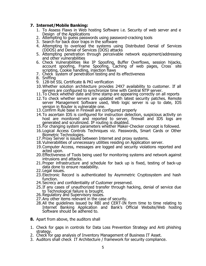#### **7. Internet/Mobile Banking:**

- 1. To Assess Flaws in Web hosting Software i.e. Security of web server and e Design of the Applications
- 2. Attempting to guess passwords using password-cracking tools
- 3. Search for back door traps in the software
- 4. Attempting to overload the systems using Distributed Denial of Services (DDOS) and Denial of Services (DOS) attacks
- 5. Attempting penetration through perceivable network equipment/addressing and other vulnerabilities
- 6. Check Vulnerabilities like IP Spoofing, Buffer Overflows, session hijacks, account spoofing, Frame Spoofing, Caching of web pages, Cross site scripting, Cookie handling, injection flaws
- 7. Check system of penetration testing and its effectiveness
- 8. Sniffing
- 9. 128-bit SSL Certificate & PKI verification
- 10.Whether solution architecture provides 24X7 availability to customer. If all servers are configured to synchronize time with Central NTP server.
- 11.To Check whether date and time stamp are appearing correctly on all reports
- 12.To check whether servers are updated with latest security patches. Remote server Management Software used, Web logic server is up to date, IOS version in Router is vulnerable one.
- 13.Confirm Rule base in Firewall are configured properly
- 14.To ascertain IDS is configured for instruction detection, suspicious activity on host are monitored and reported to server, firewall and IDS logs are generated and scrutinized. IP routing is disabled.
- 15.For changing system parameters whether Maker-Checker concept is followed.
- 16.Logical Access Controls Techniques viz. Passwords, Smart Cards or Other Biometric Technologies.
- 17.Proxy Server is issued between Internet and proxy systems.
- 18. Vulnerabilities of unnecessary utilities residing on Application server.
- 19.Computer Access, messages are logged and security violations reported and acted upon.
- 20.Effectiveness of Tools being used for monitoring systems and network against intrusions and attacks.
- 21.Proper infrastructure and schedule for back up is fixed, testing of back-up data done to ensure readability.
- 22.Legal issues.
- 23.Electronic Record is authenticated by Asymmetric Cryptosystem and hash function.
- 24.Secrecy and confidentiality of Customer preserved.
- 25.If any cases of unauthorized transfer through hacking, denial of service due to Technological failure is brought.
- 26.Regulatory and Supervisory issues.
- 27.Any other items relevant in the case of security.
- 28.All the guidelines issued by RBI and CERT-IN form time to time relating to Internet Banking Application and Bank's Official Website/Web hosting Software should be adhered to.
- **8.** Apart from above, the auditors shall
- 1. Check for gaps in controls for Data Loss Prevention Strategy and Anti phishing strategy.
- 2. Check for gap analysis of Inventory Management of Business IT Asset.
- 3. Auditors shall check IT Architecture / framework for security compliance.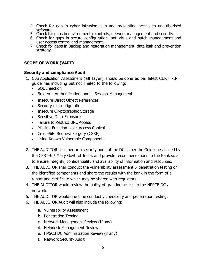- 4. Check for gap in cyber intrusion plan and preventing access to unauthorised software.
- 5. Check for gaps in environmental controls, network management and security.
- 6. Check for gaps in secure configuration, anti-virus and patch management and user access control and management.
- 7. Check for gaps in Backup and restoration management, data leak and prevention strategy.

## **SCOPE OF WORK (VAPT)**

#### **Security and compliance Audit**

- 1. CBS Application Assessment (all layer) should be done as per latest CERT -IN guidelines including but not limited to the following:
	- SOL Injection
	- Broken Authentication and Session Management
	- Insecure Direct Object References
	- Security misconfiguration
	- Insecure Cryptographic Storage
	- Sensitive Data Exposure
	- Failure to Restrict URL Access
	- Missing Function Level Access Control
	- Cross-Site Request Forgery (CSRF)
	- Using Known Vulnerable Components
- 2. THE AUDITOR shall perform security audit of the DC as per the Guidelines issued by the CERT-In/ Miety Govt. of India, and provide recommendations to the Bank so as to ensure integrity, confidentiality and availability of information and resources.
- 3. THE AUDITOR shall conduct the vulnerability assessment & penetration testing on the identified components and share the results with the bank in the form of a report and certificate which may be shared with regulators.
- 4. THE AUDITOR would review the policy of granting access to the HPSCB DC / network.
- 5. THE AUDITOR would one time conduct vulnerability and penetration testing.
- 6. THE AUDITOR Audit will also include the following:
	- a. Vulnerability Assessment
	- b. Penetration Testing
	- c. Network Management Review (If any)
	- d. Helpdesk Management Review
	- e. HPSCB DC Administration Review (if any)
	- f. Network Security Audit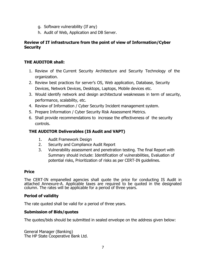- g. Software vulnerability (If any)
- h. Audit of Web, Application and DB Server.

## **Review of IT infrastructure from the point of view of Information/Cyber Security**

## **THE AUDITOR shall:**

- 1. Review of the Current Security Architecture and Security Technology of the organization.
- 2. Review best practices for server's OS, Web application, Database, Security Devices, Network Devices, Desktops, Laptops, Mobile devices etc.
- 3. Would identify network and design architectural weaknesses in term of security, performance, scalability, etc.
- 4. Review of Information / Cyber Security Incident management system.
- 5. Prepare Information / Cyber Security Risk Assessment Metrics.
- 6. Shall provide recommendations to increase the effectiveness of the security controls.

## **THE AUDITOR Deliverables (IS Audit and VAPT)**

- 1. Audit Framework Design
- 2. Security and Compliance Audit Report
- 3. Vulnerability assessment and penetration testing. The final Report with Summary should include: Identification of vulnerabilities, Evaluation of potential risks, Prioritization of risks as per CERT-IN guidelines.

## **Price**

The CERT-IN empanelled agencies shall quote the price for conducting IS Audit in attached Annexure-A. Applicable taxes are required to be quoted in the designated column. The rates will be applicable for a period of three years.

## **Period of validity**

The rate quoted shall be valid for a period of three years.

## **Submission of Bids/quotes**

The quotes/bids should be submitted in sealed envelope on the address given below:

General Manager (Banking) The HP State Cooperative Bank Ltd.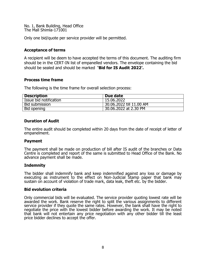No. 1, Bank Building, Head Office The Mall Shimla-171001

Only one bid/quote per service provider will be permitted.

#### **Acceptance of terms**

A recipient will be deem to have accepted the terms of this document. The auditing firm should be in the CERT-IN list of empanelled vendors. The envelope containing the bid should be sealed and should be marked **'Bid for IS Audit 2022'.**

#### **Process time frame**

The following is the time frame for overall selection process:

| <b>Description</b>     | Due date                 |
|------------------------|--------------------------|
| Issue bid notification | 15.06.2022               |
| Bid submission         | 30.06.2022 till 11.00 AM |
| Bid opening            | 30.06.2022 at 2.30 PM    |

#### **Duration of Audit**

The entire audit should be completed within 20 days from the date of receipt of letter of empanelment.

#### **Payment**

The payment shall be made on production of bill after IS audit of the branches or Data Centre is completed and report of the same is submitted to Head Office of the Bank. No advance payment shall be made.

#### **Indemnity**

The bidder shall indemnify bank and keep indemnified against any loss or damage by executing as instrument to the effect on Non-Judicial Stamp paper that bank may sustain on account of violation of trade mark, data leak, theft etc. by the bidder.

#### **Bid evolution criteria**

Only commercial bids will be evaluated. The service provider quoting lowest rate will be awarded the work. Bank reserve the right to split the various assignments to different service provider if they quote the same rates. However, the bank shall have the right to negotiate the price with the lowest bidder before awarding the work. It may be noted that bank will not entertain any price negotiation with any other bidder till the least price bidder declines to accept the offer.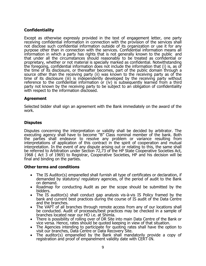## **Confidentiality**

Except as otherwise expressly provided in the text of engagement letter, one party receiving confidential information in connection with the provision of the services shall not disclose such confidential information outside of its organization or use it for any purpose other than in connection with the services. Confidential information means all information in which a party has rights that is not generally known to the public and that under all the circumstances should reasonably to be treated as confidential or proprietary, whether or not material is specially marked as confidential. Notwithstanding the foregoing, confidential information does not include the information that (i) is, as of the time of its disclosure, or thereafter becomes, part of the public domain through a source other than the receiving party (ii) was known to the receiving party as of the time of its disclosure (iii) is independently developed by the receiving party without reference to the confidential information or (iv) is subsequently learned from a third party not known by the receiving party to be subject to an obligation of confidentiality with respect to the information disclosed.

#### **Agreement**

Selected bidder shall sign an agreement with the Bank immediately on the award of the work.

## **Disputes**

Disputes concerning the interpretation or validity shall be decided by arbitrator. The executing agency shall have to become "B" Class nominal member of the bank. Both the parties shall endeavor to resolve any problem or variance resulting from interpretations of application of this contract in the spirit of cooperation and mutual interpretation. In the event of any dispute arising out or relating to this, the same shall be referred to Arbitration under Section 72,73 of the HP State Cooperative Societies Act, 1968 ( Act 3 of 1969) to Registrar, Cooperative Societies, HP and his decision will be final and binding on the parties.

#### **Other terms and conditions**

- The IS Auditor(s) empanelled shall furnish all type of certificates or declaration, if demanded by statutory/ regulatory agencies, of the period of audit to the Bank on demand.
- Roadmap for conducting Audit as per the scope should be submitted by the bidders.
- The IS auditor(s) shall conduct gap analysis vis-à-vis IS Policy framed by the bank and current best practices during the course of IS audit of the Data Centre and the branches.
- The VAPT of all branches through remote access from any of our locations shall be conducted. Audit of processes/best practices may be checked in a sample of branches located near our HO i.e. at Shimla.
- There is possibility of rolling over of DR Site into main Data Centre of the Bank or vice versa. Hence, rates should be quoted keeping in view of that situation.
- The Agencies intending to participate for quoting rates shall have the option to visit our branches, Data Centre or Data Recovery Site.
- The auditor(s) empanelled by the Bank shall mandatorily provide a copy of registration and proof of empanelment validity date with CERT-IN.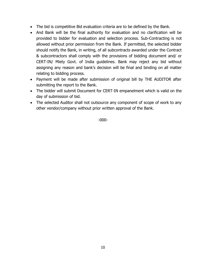- The bid is competitive Bid evaluation criteria are to be defined by the Bank.
- And Bank will be the final authority for evaluation and no clarification will be provided to bidder for evaluation and selection process. Sub-Contracting is not allowed without prior permission from the Bank. If permitted, the selected bidder should notify the Bank, in writing, of all subcontracts awarded under the Contract & subcontractors shall comply with the provisions of bidding document and/ or CERT-IN/ Miety Govt. of India guidelines. Bank may reject any bid without assigning any reason and bank's decision will be final and binding on all matter relating to bidding process.
- Payment will be made after submission of original bill by THE AUDITOR after submitting the report to the Bank.
- The bidder will submit Document for CERT-IN empanelment which is valid on the day of submission of bid.
- The selected Auditor shall not outsource any component of scope of work to any other vendor/company without prior written approval of the Bank.

-000-